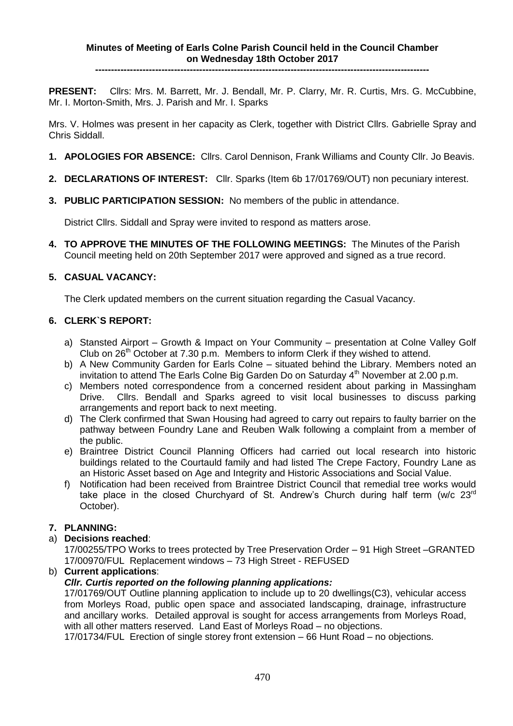**----------------------------------------------------------------------------------------------------------**

**PRESENT:** Cllrs: Mrs. M. Barrett, Mr. J. Bendall, Mr. P. Clarry, Mr. R. Curtis, Mrs. G. McCubbine, Mr. I. Morton-Smith, Mrs. J. Parish and Mr. I. Sparks

Mrs. V. Holmes was present in her capacity as Clerk, together with District Cllrs. Gabrielle Spray and Chris Siddall.

- **1. APOLOGIES FOR ABSENCE:** Cllrs. Carol Dennison, Frank Williams and County Cllr. Jo Beavis.
- **2. DECLARATIONS OF INTEREST:** Cllr. Sparks (Item 6b 17/01769/OUT) non pecuniary interest.
- **3. PUBLIC PARTICIPATION SESSION:** No members of the public in attendance.

District Cllrs. Siddall and Spray were invited to respond as matters arose.

**4. TO APPROVE THE MINUTES OF THE FOLLOWING MEETINGS:** The Minutes of the Parish Council meeting held on 20th September 2017 were approved and signed as a true record.

# **5. CASUAL VACANCY:**

The Clerk updated members on the current situation regarding the Casual Vacancy.

# **6. CLERK`S REPORT:**

- a) Stansted Airport Growth & Impact on Your Community presentation at Colne Valley Golf Club on 26<sup>th</sup> October at 7.30 p.m. Members to inform Clerk if they wished to attend.
- b) A New Community Garden for Earls Colne situated behind the Library. Members noted an invitation to attend The Earls Colne Big Garden Do on Saturday  $4<sup>th</sup>$  November at 2.00 p.m.
- c) Members noted correspondence from a concerned resident about parking in Massingham Drive. Cllrs. Bendall and Sparks agreed to visit local businesses to discuss parking arrangements and report back to next meeting.
- d) The Clerk confirmed that Swan Housing had agreed to carry out repairs to faulty barrier on the pathway between Foundry Lane and Reuben Walk following a complaint from a member of the public.
- e) Braintree District Council Planning Officers had carried out local research into historic buildings related to the Courtauld family and had listed The Crepe Factory, Foundry Lane as an Historic Asset based on Age and Integrity and Historic Associations and Social Value.
- f) Notification had been received from Braintree District Council that remedial tree works would take place in the closed Churchyard of St. Andrew's Church during half term (w/c 23<sup>rd</sup> October).

# **7. PLANNING:**

# a) **Decisions reached**:

17/00255/TPO Works to trees protected by Tree Preservation Order – 91 High Street –GRANTED 17/00970/FUL Replacement windows – 73 High Street - REFUSED

b) **Current applications**:

# *Cllr. Curtis reported on the following planning applications:*

17/01769/OUT Outline planning application to include up to 20 dwellings(C3), vehicular access from Morleys Road, public open space and associated landscaping, drainage, infrastructure and ancillary works. Detailed approval is sought for access arrangements from Morleys Road, with all other matters reserved. Land East of Morleys Road – no objections.

17/01734/FUL Erection of single storey front extension – 66 Hunt Road – no objections.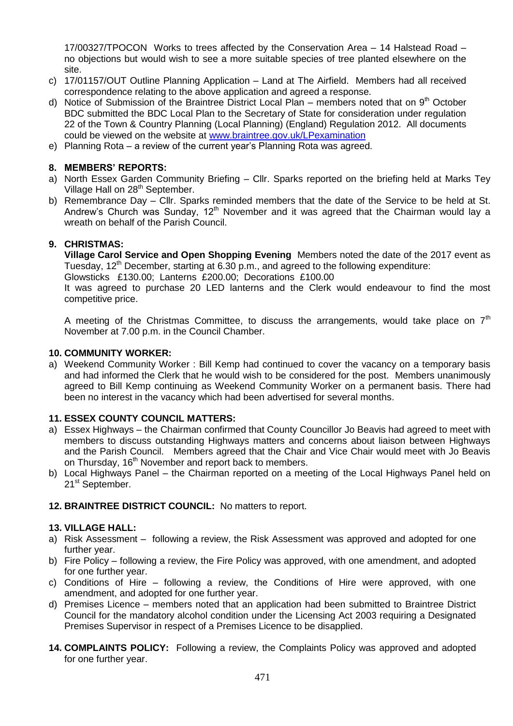17/00327/TPOCON Works to trees affected by the Conservation Area – 14 Halstead Road – no objections but would wish to see a more suitable species of tree planted elsewhere on the site.

- c) 17/01157/OUT Outline Planning Application Land at The Airfield. Members had all received correspondence relating to the above application and agreed a response.
- d) Notice of Submission of the Braintree District Local Plan members noted that on  $9<sup>th</sup>$  October BDC submitted the BDC Local Plan to the Secretary of State for consideration under regulation 22 of the Town & Country Planning (Local Planning) (England) Regulation 2012. All documents could be viewed on the website at [www.braintree.gov.uk/LPexamination](http://www.braintree.gov.uk/LPexamination)
- e) Planning Rota a review of the current year's Planning Rota was agreed.

# **8. MEMBERS' REPORTS:**

- a) North Essex Garden Community Briefing Cllr. Sparks reported on the briefing held at Marks Tey Village Hall on 28<sup>th</sup> September.
- b) Remembrance Day Cllr. Sparks reminded members that the date of the Service to be held at St. Andrew's Church was Sunday,  $12<sup>th</sup>$  November and it was agreed that the Chairman would lay a wreath on behalf of the Parish Council.

# **9. CHRISTMAS:**

**Village Carol Service and Open Shopping Evening** Members noted the date of the 2017 event as Tuesday,  $12<sup>th</sup>$  December, starting at 6.30 p.m., and agreed to the following expenditure:

Glowsticks £130.00; Lanterns£200.00; Decorations£100.00

It was agreed to purchase 20 LED lanterns and the Clerk would endeavour to find the most competitive price.

A meeting of the Christmas Committee, to discuss the arrangements, would take place on  $7<sup>th</sup>$ November at 7.00 p.m. in the Council Chamber.

### **10. COMMUNITY WORKER:**

a) Weekend Community Worker : Bill Kemp had continued to cover the vacancy on a temporary basis and had informed the Clerk that he would wish to be considered for the post. Members unanimously agreed to Bill Kemp continuing as Weekend Community Worker on a permanent basis. There had been no interest in the vacancy which had been advertised for several months.

# **11. ESSEX COUNTY COUNCIL MATTERS:**

- a) Essex Highways the Chairman confirmed that County Councillor Jo Beavis had agreed to meet with members to discuss outstanding Highways matters and concerns about liaison between Highways and the Parish Council. Members agreed that the Chair and Vice Chair would meet with Jo Beavis on Thursday, 16<sup>th</sup> November and report back to members.
- b) Local Highways Panel the Chairman reported on a meeting of the Local Highways Panel held on 21<sup>st</sup> September.

### **12. BRAINTREE DISTRICT COUNCIL:** No matters to report.

### **13. VILLAGE HALL:**

- a) Risk Assessment following a review, the Risk Assessment was approved and adopted for one further year.
- b) Fire Policy following a review, the Fire Policy was approved, with one amendment, and adopted for one further year.
- c) Conditions of Hire following a review, the Conditions of Hire were approved, with one amendment, and adopted for one further year.
- d) Premises Licence members noted that an application had been submitted to Braintree District Council for the mandatory alcohol condition under the Licensing Act 2003 requiring a Designated Premises Supervisor in respect of a Premises Licence to be disapplied.
- **14. COMPLAINTS POLICY:** Following a review, the Complaints Policy was approved and adopted for one further year.